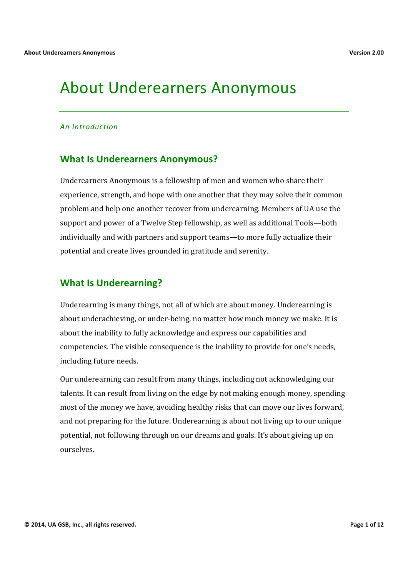# About Underearners Anonymous

#### *An#Introduction*

# **What Is Underearners Anonymous?**

Underearners Anonymous is a fellowship of men and women who share their experience, strength, and hope with one another that they may solve their common problem and help one another recover from underearning. Members of UA use the support and power of a Twelve Step fellowship, as well as additional Tools—both individually and with partners and support teams—to more fully actualize their potential and create lives grounded in gratitude and serenity.

# **What Is Underearning?**

Underearning is many things, not all of which are about money. Underearning is about underachieving, or under-being, no matter how much money we make. It is about the inability to fully acknowledge and express our capabilities and competencies. The visible consequence is the inability to provide for one's needs, including future needs.

Our underearning can result from many things, including not acknowledging our talents. It can result from living on the edge by not making enough money, spending most of the money we have, avoiding healthy risks that can move our lives forward, and not preparing for the future. Underearning is about not living up to our unique potential, not following through on our dreams and goals. It's about giving up on ourselves.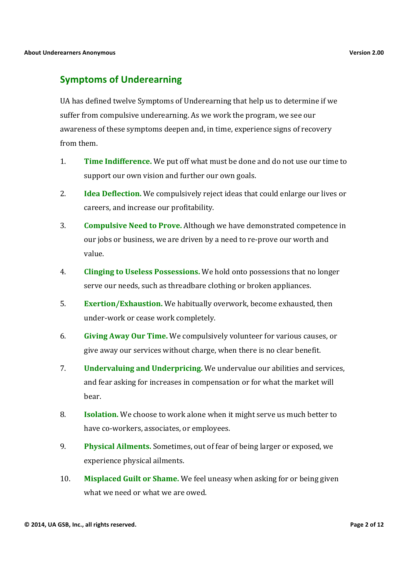# **Symptoms of Underearning**

UA has defined twelve Symptoms of Underearning that help us to determine if we suffer from compulsive underearning. As we work the program, we see our awareness of these symptoms deepen and, in time, experience signs of recovery from them.

- 1. **Time Indifference.** We put off what must be done and do not use our time to support our own vision and further our own goals.
- 2. **Idea Deflection.** We compulsively reject ideas that could enlarge our lives or careers, and increase our profitability.
- 3. **Compulsive Need to Prove.** Although we have demonstrated competence in our jobs or business, we are driven by a need to re-prove our worth and value.
- 4. **Clinging to Useless Possessions.** We hold onto possessions that no longer serve our needs, such as threadbare clothing or broken appliances.
- 5. **Exertion/Exhaustion.** We habitually overwork, become exhausted, then under-work or cease work completely.
- 6. **Giving Away Our Time.** We compulsively volunteer for various causes, or give away our services without charge, when there is no clear benefit.
- 7. **Undervaluing and Underpricing.** We undervalue our abilities and services, and fear asking for increases in compensation or for what the market will bear.
- 8. **Isolation.** We choose to work alone when it might serve us much better to have co-workers, associates, or employees.
- 9. **Physical Ailments.** Sometimes, out of fear of being larger or exposed, we experience physical ailments.
- 10. **Misplaced Guilt or Shame.** We feel uneasy when asking for or being given what we need or what we are owed.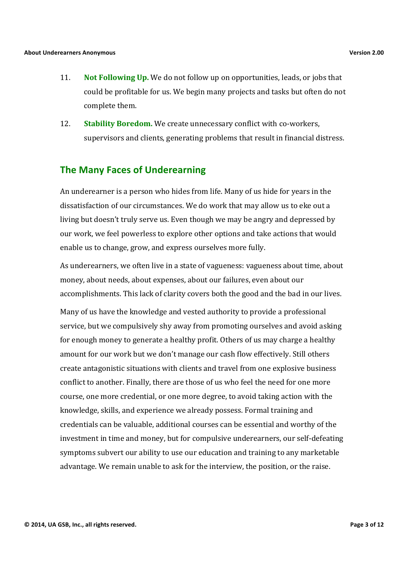- 11. **Not Following Up.** We do not follow up on opportunities, leads, or jobs that could be profitable for us. We begin many projects and tasks but often do not complete them.
- 12. **Stability Boredom.** We create unnecessary conflict with co-workers, supervisors and clients, generating problems that result in financial distress.

# **The Many Faces of Underearning**

An underearner is a person who hides from life. Many of us hide for years in the dissatisfaction of our circumstances. We do work that may allow us to eke out a living but doesn't truly serve us. Even though we may be angry and depressed by our work, we feel powerless to explore other options and take actions that would enable us to change, grow, and express ourselves more fully.

As underearners, we often live in a state of vagueness: vagueness about time, about money, about needs, about expenses, about our failures, even about our accomplishments. This lack of clarity covers both the good and the bad in our lives.

Many of us have the knowledge and vested authority to provide a professional service, but we compulsively shy away from promoting ourselves and avoid asking for enough money to generate a healthy profit. Others of us may charge a healthy amount for our work but we don't manage our cash flow effectively. Still others create antagonistic situations with clients and travel from one explosive business conflict to another. Finally, there are those of us who feel the need for one more course, one more credential, or one more degree, to avoid taking action with the knowledge, skills, and experience we already possess. Formal training and credentials can be valuable, additional courses can be essential and worthy of the investment in time and money, but for compulsive underearners, our self-defeating symptoms subvert our ability to use our education and training to any marketable advantage. We remain unable to ask for the interview, the position, or the raise.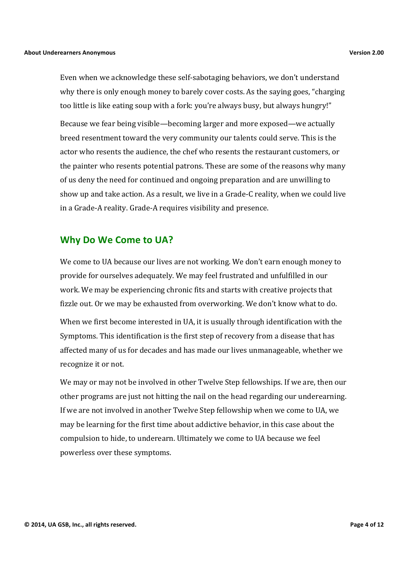Even when we acknowledge these self-sabotaging behaviors, we don't understand why there is only enough money to barely cover costs. As the saying goes, "charging" too little is like eating soup with a fork: you're always busy, but always hungry!"

Because we fear being visible—becoming larger and more exposed—we actually breed resentment toward the very community our talents could serve. This is the actor who resents the audience, the chef who resents the restaurant customers, or the painter who resents potential patrons. These are some of the reasons why many of us deny the need for continued and ongoing preparation and are unwilling to show up and take action. As a result, we live in a Grade-C reality, when we could live in a Grade-A reality. Grade-A requires visibility and presence.

#### **Why Do We Come to UA?**

We come to UA because our lives are not working. We don't earn enough money to provide for ourselves adequately. We may feel frustrated and unfulfilled in our work. We may be experiencing chronic fits and starts with creative projects that fizzle out. Or we may be exhausted from overworking. We don't know what to do.

When we first become interested in UA, it is usually through identification with the Symptoms. This identification is the first step of recovery from a disease that has affected many of us for decades and has made our lives unmanageable, whether we recognize it or not.

We may or may not be involved in other Twelve Step fellowships. If we are, then our other programs are just not hitting the nail on the head regarding our underearning. If we are not involved in another Twelve Step fellowship when we come to UA, we may be learning for the first time about addictive behavior, in this case about the compulsion to hide, to underearn. Ultimately we come to UA because we feel powerless over these symptoms.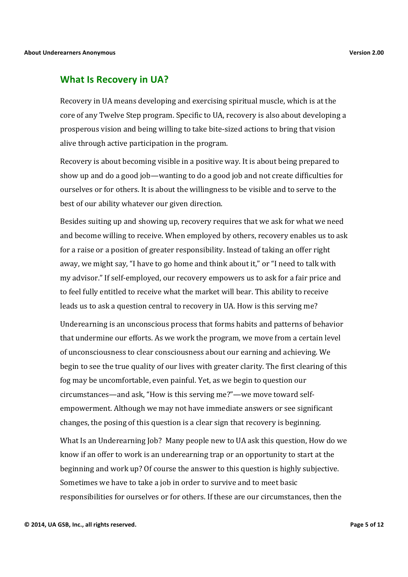#### **What Is Recovery in UA?**

Recovery in UA means developing and exercising spiritual muscle, which is at the core of any Twelve Step program. Specific to UA, recovery is also about developing a prosperous vision and being willing to take bite-sized actions to bring that vision alive through active participation in the program.

Recovery is about becoming visible in a positive way. It is about being prepared to show up and do a good job—wanting to do a good job and not create difficulties for ourselves or for others. It is about the willingness to be visible and to serve to the best of our ability whatever our given direction.

Besides suiting up and showing up, recovery requires that we ask for what we need and become willing to receive. When employed by others, recovery enables us to ask for a raise or a position of greater responsibility. Instead of taking an offer right away, we might say, "I have to go home and think about it," or "I need to talk with my advisor." If self-employed, our recovery empowers us to ask for a fair price and to feel fully entitled to receive what the market will bear. This ability to receive leads us to ask a question central to recovery in UA. How is this serving me?

Underearning is an unconscious process that forms habits and patterns of behavior that undermine our efforts. As we work the program, we move from a certain level of unconsciousness to clear consciousness about our earning and achieving. We begin to see the true quality of our lives with greater clarity. The first clearing of this fog may be uncomfortable, even painful. Yet, as we begin to question our circumstances—and ask, "How is this serving me?"—we move toward selfempowerment. Although we may not have immediate answers or see significant changes, the posing of this question is a clear sign that recovery is beginning.

What Is an Underearning Job? Many people new to UA ask this question, How do we know if an offer to work is an underearning trap or an opportunity to start at the beginning and work up? Of course the answer to this question is highly subjective. Sometimes we have to take a job in order to survive and to meet basic responsibilities for ourselves or for others. If these are our circumstances, then the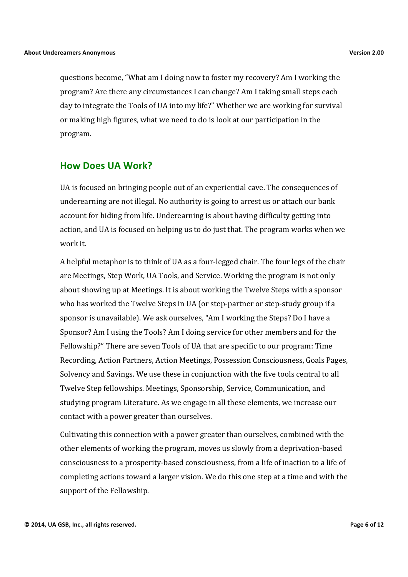questions become, "What am I doing now to foster my recovery? Am I working the program? Are there any circumstances I can change? Am I taking small steps each day to integrate the Tools of UA into my life?" Whether we are working for survival or making high figures, what we need to do is look at our participation in the program.

# **How Does UA Work?**

UA is focused on bringing people out of an experiential cave. The consequences of underearning are not illegal. No authority is going to arrest us or attach our bank account for hiding from life. Underearning is about having difficulty getting into action, and UA is focused on helping us to do just that. The program works when we work it.

A helpful metaphor is to think of UA as a four-legged chair. The four legs of the chair are Meetings, Step Work, UA Tools, and Service. Working the program is not only about showing up at Meetings. It is about working the Twelve Steps with a sponsor who has worked the Twelve Steps in UA (or step-partner or step-study group if a sponsor is unavailable). We ask ourselves, "Am I working the Steps? Do I have a Sponsor? Am I using the Tools? Am I doing service for other members and for the Fellowship?" There are seven Tools of UA that are specific to our program: Time Recording, Action Partners, Action Meetings, Possession Consciousness, Goals Pages, Solvency and Savings. We use these in conjunction with the five tools central to all Twelve Step fellowships. Meetings, Sponsorship, Service, Communication, and studying program Literature. As we engage in all these elements, we increase our contact with a power greater than ourselves.

Cultivating this connection with a power greater than ourselves, combined with the other elements of working the program, moves us slowly from a deprivation-based consciousness to a prosperity-based consciousness, from a life of inaction to a life of completing actions toward a larger vision. We do this one step at a time and with the support of the Fellowship.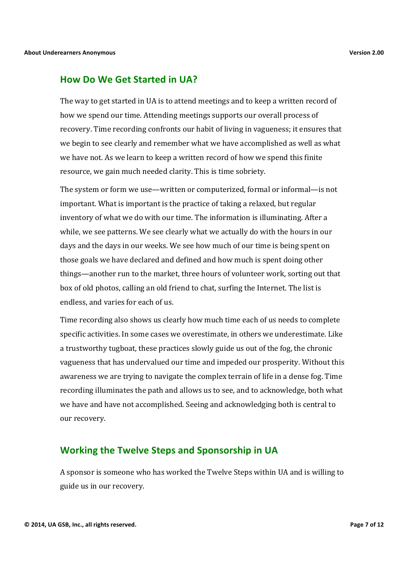# **How Do We Get Started in UA?**

The way to get started in UA is to attend meetings and to keep a written record of how we spend our time. Attending meetings supports our overall process of recovery. Time recording confronts our habit of living in vagueness; it ensures that we begin to see clearly and remember what we have accomplished as well as what we have not. As we learn to keep a written record of how we spend this finite resource, we gain much needed clarity. This is time sobriety.

The system or form we use—written or computerized, formal or informal—is not important. What is important is the practice of taking a relaxed, but regular inventory of what we do with our time. The information is illuminating. After a while, we see patterns. We see clearly what we actually do with the hours in our days and the days in our weeks. We see how much of our time is being spent on those goals we have declared and defined and how much is spent doing other things—another run to the market, three hours of volunteer work, sorting out that box of old photos, calling an old friend to chat, surfing the Internet. The list is endless, and varies for each of us.

Time recording also shows us clearly how much time each of us needs to complete specific activities. In some cases we overestimate, in others we underestimate. Like a trustworthy tugboat, these practices slowly guide us out of the fog, the chronic vagueness that has undervalued our time and impeded our prosperity. Without this awareness we are trying to navigate the complex terrain of life in a dense fog. Time recording illuminates the path and allows us to see, and to acknowledge, both what we have and have not accomplished. Seeing and acknowledging both is central to our recovery.

#### **Working the Twelve Steps and Sponsorship in UA**

A sponsor is someone who has worked the Twelve Steps within UA and is willing to guide us in our recovery.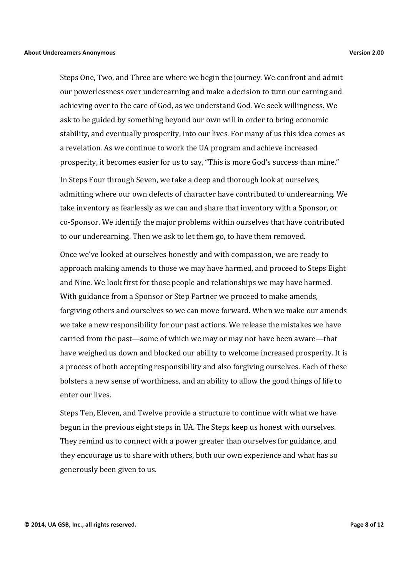Steps One, Two, and Three are where we begin the journey. We confront and admit our powerlessness over underearning and make a decision to turn our earning and achieving over to the care of God, as we understand God. We seek willingness. We ask to be guided by something beyond our own will in order to bring economic stability, and eventually prosperity, into our lives. For many of us this idea comes as a revelation. As we continue to work the UA program and achieve increased prosperity, it becomes easier for us to say, "This is more God's success than mine."

In Steps Four through Seven, we take a deep and thorough look at ourselves, admitting where our own defects of character have contributed to underearning. We take inventory as fearlessly as we can and share that inventory with a Sponsor, or co-Sponsor. We identify the major problems within ourselves that have contributed to our underearning. Then we ask to let them go, to have them removed.

Once we've looked at ourselves honestly and with compassion, we are ready to approach making amends to those we may have harmed, and proceed to Steps Eight and Nine. We look first for those people and relationships we may have harmed. With guidance from a Sponsor or Step Partner we proceed to make amends, forgiving others and ourselves so we can move forward. When we make our amends we take a new responsibility for our past actions. We release the mistakes we have carried from the past—some of which we may or may not have been aware—that have weighed us down and blocked our ability to welcome increased prosperity. It is a process of both accepting responsibility and also forgiving ourselves. Each of these bolsters a new sense of worthiness, and an ability to allow the good things of life to enter our lives.

Steps Ten, Eleven, and Twelve provide a structure to continue with what we have begun in the previous eight steps in UA. The Steps keep us honest with ourselves. They remind us to connect with a power greater than ourselves for guidance, and they encourage us to share with others, both our own experience and what has so generously been given to us.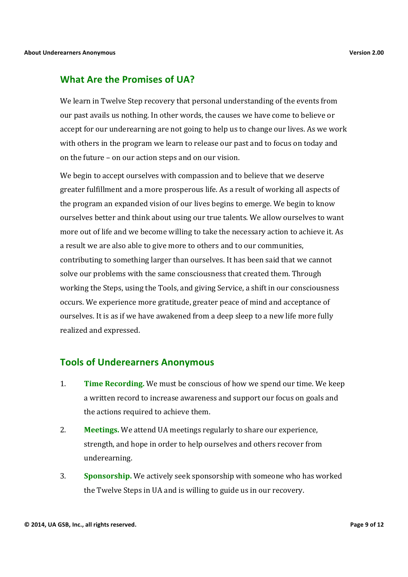#### **What Are the Promises of UA?**

We learn in Twelve Step recovery that personal understanding of the events from our past avails us nothing. In other words, the causes we have come to believe or accept for our underearning are not going to help us to change our lives. As we work with others in the program we learn to release our past and to focus on today and on the future – on our action steps and on our vision.

We begin to accept ourselves with compassion and to believe that we deserve greater fulfillment and a more prosperous life. As a result of working all aspects of the program an expanded vision of our lives begins to emerge. We begin to know ourselves better and think about using our true talents. We allow ourselves to want more out of life and we become willing to take the necessary action to achieve it. As a result we are also able to give more to others and to our communities, contributing to something larger than ourselves. It has been said that we cannot solve our problems with the same consciousness that created them. Through working the Steps, using the Tools, and giving Service, a shift in our consciousness occurs. We experience more gratitude, greater peace of mind and acceptance of ourselves. It is as if we have awakened from a deep sleep to a new life more fully realized and expressed.

#### **Tools&of&Underearners&Anonymous**

- 1. Time Recording. We must be conscious of how we spend our time. We keep a written record to increase awareness and support our focus on goals and the actions required to achieve them.
- 2. Meetings. We attend UA meetings regularly to share our experience, strength, and hope in order to help ourselves and others recover from underearning.
- 3. **Sponsorship.** We actively seek sponsorship with someone who has worked the Twelve Steps in UA and is willing to guide us in our recovery.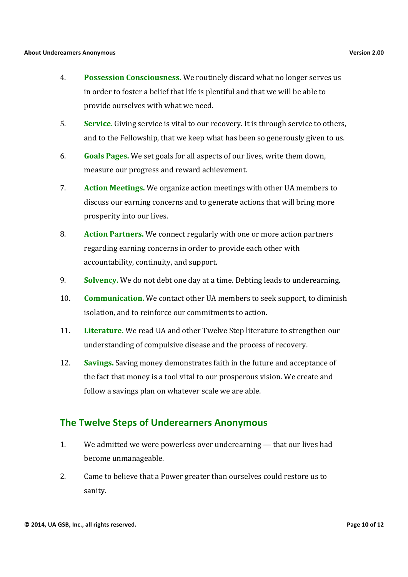- 4. Possession Consciousness. We routinely discard what no longer serves us in order to foster a belief that life is plentiful and that we will be able to provide ourselves with what we need.
- 5. **Service.** Giving service is vital to our recovery. It is through service to others, and to the Fellowship, that we keep what has been so generously given to us.
- 6. Goals Pages. We set goals for all aspects of our lives, write them down, measure our progress and reward achievement.
- 7. **Action Meetings.** We organize action meetings with other UA members to discuss our earning concerns and to generate actions that will bring more prosperity into our lives.
- 8. Action Partners. We connect regularly with one or more action partners regarding earning concerns in order to provide each other with accountability, continuity, and support.
- 9. Solvency. We do not debt one day at a time. Debting leads to underearning.
- 10. **Communication.** We contact other UA members to seek support, to diminish isolation, and to reinforce our commitments to action.
- 11. **Literature.** We read UA and other Twelve Step literature to strengthen our understanding of compulsive disease and the process of recovery.
- 12. **Savings.** Saving money demonstrates faith in the future and acceptance of the fact that money is a tool vital to our prosperous vision. We create and follow a savings plan on whatever scale we are able.

# **The Twelve Steps of Underearners Anonymous**

- 1. We admitted we were powerless over underearning  $-$  that our lives had become unmanageable.
- 2. Came to believe that a Power greater than ourselves could restore us to sanity.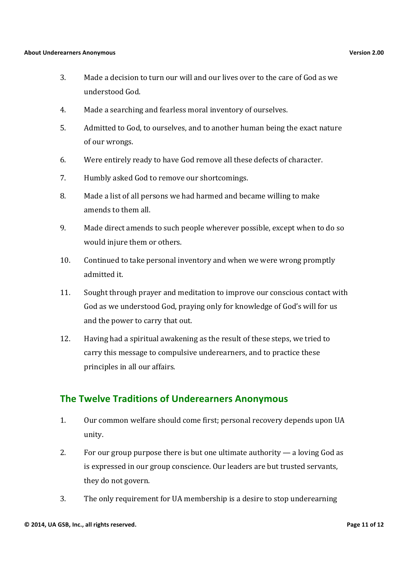- 3. Made a decision to turn our will and our lives over to the care of God as we understood God.
- 4. Made a searching and fearless moral inventory of ourselves.
- 5. Admitted to God, to ourselves, and to another human being the exact nature of our wrongs.
- 6. Were entirely ready to have God remove all these defects of character.
- 7. Humbly asked God to remove our shortcomings.
- 8. Made a list of all persons we had harmed and became willing to make amends to them all.
- 9. Made direct amends to such people wherever possible, except when to do so would injure them or others.
- 10. Continued to take personal inventory and when we were wrong promptly admitted it.
- 11. Sought through prayer and meditation to improve our conscious contact with God as we understood God, praying only for knowledge of God's will for us and the power to carry that out.
- 12. Having had a spiritual awakening as the result of these steps, we tried to carry this message to compulsive underearners, and to practice these principles in all our affairs.

# **The Twelve Traditions of Underearners Anonymous**

- 1. Our common welfare should come first; personal recovery depends upon UA unity.
- 2. For our group purpose there is but one ultimate authority  $-$  a loving God as is expressed in our group conscience. Our leaders are but trusted servants, they do not govern.
- 3. The only requirement for UA membership is a desire to stop underearning